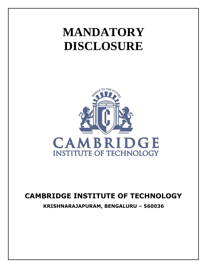# **MANDATORY DISCLOSURE**



# **CAMBRIDGE INSTITUTE OF TECHNOLOGY**

**KRISHNARAJAPURAM, BENGALURU – 560036**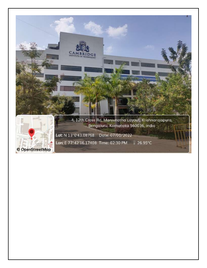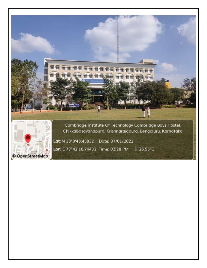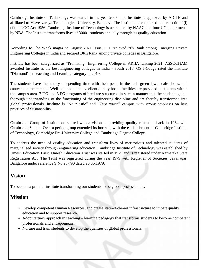Cambridge Institute of Technology was started in the year 2007. The Institute is approved by AICTE and affiliated to Visvesvaraya Technological University, Belagavi. The Institute is recognized under section 2(f) of the UGC Act 1956. Cambridge Institute of Technology is accredited by NAAC and four UG departments by NBA. The Institute transforms lives of 3000+ students annually through its quality education.

According to The Week magazine August 2021 Issue, CIT recieved **7th** Rank among Emerging Private Engineering Colleges in India and secured **10th** Rank among private colleges in Bangalore.

Institute has been categorized as "Promising" Engineering College in ARIIA ranking 2021. ASSOCHAM awarded Institute as the best Engineering colleges in India - South 2018. QS I-Gauge rated the Institute "Diamond" in Teaching and Learning category in 2019.

The students have the luxury of spending time with their peers in the lush green lawn, café shops, and canteens in the campus. Well-equipped and excellent quality hostel facilities are provided to students within the campus area. 7 UG and 3 PG programs offered are structured in such a manner that the students gain a thorough understanding of the functioning of the engineering discipline and are thereby transformed into global professionals. Institute is "No plastic" and "Zero waste" campus with strong emphasis on best practices of Sustanability.

Cambridge Group of Institutions started with a vision of providing quality education back in 1964 with Cambridge School. Over a period group extended its horizon, with the establishment of Cambridge Institute of Technology, Cambridge Pre-University College and Cambridge Degree College.

To address the need of quality education and transform lives of meritorious and talented students of marginalised society through engineering education, Cambridge Institute of Technology was established by Umesh Education Trust. Umesh Education Trust was started in 1979 and is registered under Karnataka State Registration Act. The Trust was registered during the year 1979 with Registrar of Societies, Jayanagar, Bangalore under reference S.No.287/90 dated 26.06.1979.

## **Vision**

To become a premier institute transforming our students to be global professionals.

## **Mission**

- Develop competent Human Resources, and create state-of-the-art infrastructure to impart quality education and to support research.
- Adopt tertiary approach in teaching learning pedagogy that transforms students to become competent professionals and entrepreneurs.
- Nurture and train students to develop the qualities of global professionals.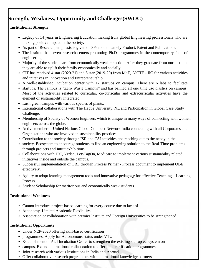# **Strength, Weakness, Opportunity and Challenges(SWOC)**

### **Institutional Strength**

- Legacy of 14 years in Engineering Education making truly global Engineering professionals who are making positive impact in the society.
- As part of Research, emphasis is given on 3Ps model namely Product, Patent and Publications.
- The institute has seven research centers promoting Ph.D programmes in the contemporary field of engineering.
- Majority of the students are from economically weaker section. After they graduate from our institute they are able to uplift their family economically and socially.
- CIT has received 4 star (2020-21) and 5 star (2019-20) from MoE, AICTE IIC for various activities and initatives in Innovation and Entrepreneurship.
- A well-established incubation center with 12 startups on campus. There are 6 labs to facilitate
- startups. The campus is "Zero Waste Campus" and has banned all one time use plastics on campus. Most of the activities related to curricular, co-curricular and extracurricular activities have the element of sustainability integrated.
- Lush green campus with various species of plants.
- International collaborations with The Hague University, NL and Participation in Global Case Study Challenge.
- Membership of Society of Women Engineers which is unique in many ways of connecting with women engineers across the globe.
- Active member of United Nations Global Compact Network India connecting with all Corporates and Organizations who are involved in sustainability practices.
- Contribution to the society through ISR and CSI activities and reaching out to the needy in the
- society. Ecosystem to encourage students to find an engineering solution to the Real-Time problems through projects and Intuit exhibitions.
- Collaborations with ITC, Vedan, LetsTagOn, Medicare to implement various sustainability related initiatives inside and outside the campus.
- Successful implementation of OBE through Process Primer Process document to implement OBE effectively.
- Agility to adopt learning management tools and innovative pedagogy for effective Teaching Learning Process.
- Student Scholarship for meritorious and economically weak students.

### **Institutional Weakness**

- Cannot introduce project-based learning for every course due to lack of
- Autonomy. Limited Academic Flexibility.
- Association or collaboration with premier Institute and Foreign Universities to be strengthened.

### **Institutional Opportunity**

- Under NEP-2020 offering skill-based certification
- programmes. Apply for Autonomous status under VTU.
- Establishment of Atal Incubation Center to strengthen the existing startup ecosystem on
- campus. Extend international collaboration to offer joint certification programmes.
- Joint research with various Institutions in India and Abroad.
- Offer collaborative research programmes with international knowledge partners.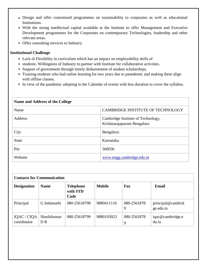- Design and offer customised programmes on sustainability to corporates as well as educational Institutions.
- With the strong intellectual capital available at the Institute to offer Management and Executive Development programmes for the Corporates on contemporary Technologies, leadership and other relevant areas.
- Offer consulting services to Industry.

#### **Institutional Challenge**

- Lack of Flexibility in curriculum which has an impact on employability skills of
- students. Willingness of Industry to partner with Institute for collaborative activities.
- Support of government through timely disbursement of student scholarships.
- Training students who had online learning for two years due to panedemic and making them align with offline classes.
- In view of the pandemic adopting to the Calendar of events with less duration to cover the syllabus.

| Name and Address of the College |                                                                  |  |  |  |
|---------------------------------|------------------------------------------------------------------|--|--|--|
| Name                            | CAMBRIDGE INSTITUTE OF TECHNOLOGY                                |  |  |  |
| <b>Address</b>                  | Cambridge Institute of Technology,<br>Krishnarajapuram Bengaluru |  |  |  |
| City                            | Bengaluru                                                        |  |  |  |
| <b>State</b>                    | Karnataka                                                        |  |  |  |
| Pin                             | 560036                                                           |  |  |  |
| Website                         | www.engg.cambridge.edu.in                                        |  |  |  |

| <b>Contacts for Communication</b> |                               |                                      |               |                  |                                |  |
|-----------------------------------|-------------------------------|--------------------------------------|---------------|------------------|--------------------------------|--|
| <b>Designation</b>                | <b>Name</b>                   | <b>Telephone</b><br>with STD<br>Code | <b>Mobile</b> | Fax              | Email                          |  |
| Principal                         | G Indumathi                   | 080-25618798                         | 9880411116    | 080-2561878<br>9 | principal@cambrid<br>ge.edu.in |  |
| IQAC / CIQA<br>coordinator        | Shashikumar<br>D <sub>R</sub> | 080-25618799                         | 9880103023    | 080-2561878<br>9 | iqac@cambridge.e<br>du.in      |  |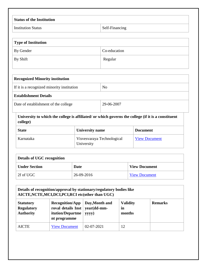| <b>Status of the Institution</b> |                       |
|----------------------------------|-----------------------|
| <b>Institution Status</b>        | <b>Self-Financing</b> |

| Type of Institution |              |  |
|---------------------|--------------|--|
| By Gender           | Co-education |  |
| By Shift            | Regular      |  |

| <b>Recognized Minority institution</b>             |                |  |  |
|----------------------------------------------------|----------------|--|--|
| If it is a recognized minority institution         | N <sub>0</sub> |  |  |
| <b>Establishment Details</b>                       |                |  |  |
| Date of establishment of the college<br>29-06-2007 |                |  |  |
|                                                    |                |  |  |

**University to which the college is affiliated/ or which governs the college (if it is a constituent college)**

| <b>State</b> | <b>University name</b>                   | <b>Document</b>      |
|--------------|------------------------------------------|----------------------|
| Karnataka    | Visvesvaraya Technological<br>University | <b>View Document</b> |

| Details of UGC recognition |            |                      |  |  |  |
|----------------------------|------------|----------------------|--|--|--|
| <b>Under Section</b>       | Date       | <b>View Document</b> |  |  |  |
| $\vert$ 2f of UGC $\vert$  | 26-09-2016 | <b>View Document</b> |  |  |  |

| Details of recognition/approval by stationary/regulatory bodies like<br>AICTE, NCTE, MCI, DCI, PCI, RCI etc(other than UGC) |                                 |                  |    |  |  |
|-----------------------------------------------------------------------------------------------------------------------------|---------------------------------|------------------|----|--|--|
| <b>Statutory</b><br><b>Regulatory</b><br><b>Authority</b>                                                                   | <b>Validity</b><br>in<br>months | <b>Remarks</b>   |    |  |  |
| <b>AICTE</b>                                                                                                                | <b>View Document</b>            | $02 - 07 - 2021$ | 12 |  |  |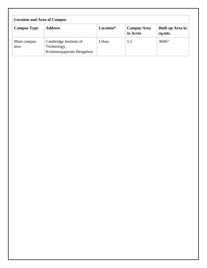| <b>Location and Area of Campus</b> |                                                                     |           |                                |                             |  |
|------------------------------------|---------------------------------------------------------------------|-----------|--------------------------------|-----------------------------|--|
| <b>Campus Type</b>                 | <b>Address</b>                                                      | Location* | <b>Campus Area</b><br>in Acres | Built up Area in<br>sq.mts. |  |
| Main campus<br>area                | Cambridge Institute of<br>Technology,<br>Krishnarajapuram Bengaluru | Urban     | 5.2                            | 36067                       |  |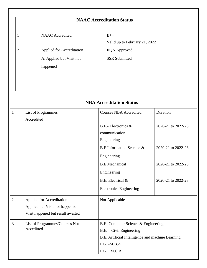|                | <b>NAAC Accreditation Status</b>                                  |                                              |  |  |  |
|----------------|-------------------------------------------------------------------|----------------------------------------------|--|--|--|
| $\mathbf 1$    | <b>NAAC</b> Accredited                                            | $B++$<br>Valid up to February 21, 2022       |  |  |  |
| $\overline{2}$ | Applied for Accreditation<br>A. Applied but Visit not<br>happened | <b>IIQA</b> Approved<br><b>SSR Submitted</b> |  |  |  |

|                | <b>NBA Accreditation Status</b>                                                                         |                                                                                                                      |                    |  |  |  |
|----------------|---------------------------------------------------------------------------------------------------------|----------------------------------------------------------------------------------------------------------------------|--------------------|--|--|--|
| $\mathbf{1}$   | <b>List of Programmes</b><br>Accredited                                                                 | <b>Courses NBA Accredited</b>                                                                                        | Duration           |  |  |  |
|                |                                                                                                         | $B.E.-Electronic s \&$<br>communication<br>Engineering                                                               | 2020-21 to 2022-23 |  |  |  |
|                |                                                                                                         | B.E Information Science &<br>Engineering                                                                             | 2020-21 to 2022-23 |  |  |  |
|                |                                                                                                         | <b>B.E</b> Mechanical<br>Engineering                                                                                 | 2020-21 to 2022-23 |  |  |  |
|                |                                                                                                         | B.E. Electrical &<br><b>Electronics Engineering</b>                                                                  | 2020-21 to 2022-23 |  |  |  |
| $\overline{2}$ | <b>Applied for Accreditation</b><br>Applied but Visit not happened<br>Visit happened but result awaited | Not Applicable                                                                                                       |                    |  |  |  |
| 3              | List of Programmes/Courses Not<br>Acceditted                                                            | B.E- Computer Science & Engineering<br>B.E. - Civil Engineering<br>B.E. Artificial Intelligence and machine Learning |                    |  |  |  |
|                |                                                                                                         | $P.G. - M.B.A$<br>$P.G. - M.C.A$                                                                                     |                    |  |  |  |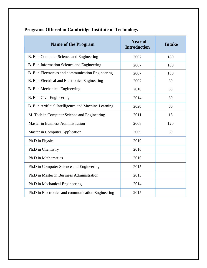| <b>Name of the Program</b>                           | <b>Year of</b><br><b>Introduction</b> | <b>Intake</b> |
|------------------------------------------------------|---------------------------------------|---------------|
| B. E in Computer Science and Engineering             | 2007                                  | 180           |
| B. E in Information Science and Engineering          | 2007                                  | 180           |
| B. E in Electronics and communication Engineering    | 2007                                  | 180           |
| B. E in Electrical and Electronics Engineering       | 2007                                  | 60            |
| B. E in Mechanical Engineering                       | 2010                                  | 60            |
| B. E in Civil Engineering                            | 2014                                  | 60            |
| B. E in Artificial Intelligence and Machine Learning | 2020                                  | 60            |
| M. Tech in Computer Science and Engineering          | 2011                                  | 18            |
| <b>Master in Business Administration</b>             | 2008                                  | 120           |
| Master in Computer Application                       | 2009                                  | 60            |
| Ph.D in Physics                                      | 2019                                  |               |
| Ph.D in Chemistry                                    | 2016                                  |               |
| Ph.D in Mathematics                                  | 2016                                  |               |
| Ph.D in Computer Science and Engineering             | 2015                                  |               |
| Ph.D in Master in Business Administration            | 2013                                  |               |
| Ph.D in Mechanical Engineering                       | 2014                                  |               |
| Ph.D in Electronics and communication Engineering    | 2015                                  |               |

# **Programs Offered in Cambridge Institute of Technology**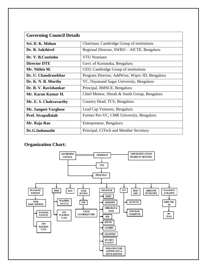| <b>Governing Council Details</b>                                |                                                |  |
|-----------------------------------------------------------------|------------------------------------------------|--|
| Sri. D. K. Mohan                                                | Chairman, Cambridge Group of institutions      |  |
| Dr. R. Sakthivel                                                | Regional Director, SWRO – AICTE, Bengaluru     |  |
| Dr. V. B.Coutinho                                               | <b>VTU Nominee</b>                             |  |
| <b>Director DTE</b>                                             | Govt. of Karnataka, Bengaluru                  |  |
| Mr. Nithin M.                                                   | CEO, Cambridge Group of institutions           |  |
| Dr. U. Chandrasekhar                                            | Program Director, AddWize, Wipro 3D, Bengaluru |  |
| VC, Dayanand Sagar University, Bengaluru<br>Dr. K. N. B. Murthy |                                                |  |
| Dr. B. V. Ravishankar                                           | Principal, BMSCE, Bengaluru                    |  |
| Mr. Karan Kumar H.                                              | Chief Mentor, Shruth & Smith Group, Bengaluru  |  |
| Mr. E. S. Chakravarthy                                          | Country Head, TCS, Bengaluru                   |  |
| <b>Mr. Sangeet Varghese</b>                                     | Lead Cap Ventures, Bengaluru                   |  |
| Prof. Sivapullaiah                                              | Former Pro-VC, CMR University, Bengaluru       |  |
| Mr. Raja Rao                                                    | Entrepreneur, Bengaluru                        |  |
| Dr.G.Indumathi                                                  | Principal, CiTech and Member Secretary         |  |

## **Organization Chart:**

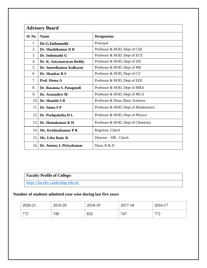| <b>Advisory Board</b> |                                           |                                      |  |
|-----------------------|-------------------------------------------|--------------------------------------|--|
| Sl. No                | <b>Designation</b><br><b>Name</b>         |                                      |  |
| 1.                    | Dr.G.Indumathi                            | Principal                            |  |
| 2.                    | Dr. Shashikumar D R                       | Professor & HOD, Dept of CSE         |  |
| 3.                    | Dr. Indumathi G                           | Professor & HOD, Dept of ECE         |  |
| 4.                    | Dr. K. Satyanarayan Reddy                 | Professor & HOD, Dept of ISE         |  |
| 5.                    | Dr. Suneelkumar Kulkarni                  | Professor & HOD, Dept of ME          |  |
| 6.                    | Dr. Shankar B S                           | Professor & HOD, Dept of CV          |  |
| 7.                    | Prof. Hema A                              | Professor & HOD, Dept of EEE         |  |
| 8.                    | Dr. Basanna S. Patagundi                  | Professor & HOD, Dept of MBA         |  |
| 9.                    | Dr. Arunadevi M                           | Professor & HOD, Dept of MCA         |  |
| 10.                   | Dr. Shanthi S R                           | Professor & Dean, Basic Sciences     |  |
| 11.                   | Dr. Suma SP                               | Professor & HOD, Dept of Mathematics |  |
| 12.                   | Dr. Pushpalatha H L                       | Professor & HOD, Dept of Physics     |  |
| 13.                   | Dr. Hemakumar K H                         | Professor & HOD, Dept of Chemistry   |  |
| 14.                   | Mr. Krishnakumar P R<br>Registrar, Citech |                                      |  |
| 15.                   | Ms. Usha Rani. R.                         | Director – HR, Citech                |  |
| 16.                   | Dr. Antony L Piriyakumar                  | Dean, R & D                          |  |

## **Faculty Profile of College:**

<https://faculty.cambridge.edu.in/>

#### **Number of students admitted year-wise during last five years**

| 2020-21    | 2019-20 | 2018-19 | 2017-18 | 2016-17             |
|------------|---------|---------|---------|---------------------|
| 770<br>ے ' | 749     | 832     | 747     | $\overline{H}$<br>∽ |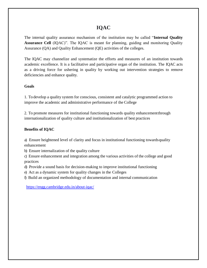## **IQAC**

The internal quality assurance mechanism of the institution may be called "**Internal Quality Assurance Cell** (IQAC)". The IQAC is meant for planning, guiding and monitoring Quality Assurance (QA) and Quality Enhancement (QE) activities of the colleges.

The IQAC may channelize and systematize the efforts and measures of an institution towards academic excellence. It is a facilitative and participative organ of the institution. The IQAC acts as a driving force for ushering in quality by working out intervention strategies to remove deficiencies and enhance quality.

#### **Goals**

1. To develop a quality system for conscious, consistent and catalytic programmed action to improve the academic and administrative performance of the College

2. To promote measures for institutional functioning towards quality enhancementthrough internationalization of quality culture and institutionalization of best practices

#### **Benefits of IQAC**

a) Ensure heightened level of clarity and focus in institutional functioning towardsquality enhancement

b) Ensure internalization of the quality culture

c) Ensure enhancement and integration among the various activities of the college and good practices

d) Provide a sound basis for decision-making to improve institutional functioning

e) Act as a dynamic system for quality changes in the Colleges

f) Build an organized methodology of documentation and internal communication

<https://engg.cambridge.edu.in/about-iqac/>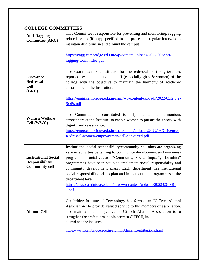## **COLLEGE COMMITTEES**

| <b>Anti-Ragging</b><br><b>Committee (ARC)</b>                           | This Committee is responsible for preventing and monitoring, ragging<br>related issues (if any) specified in the process at regular intervals to<br>maintain discipline in and around the campus.                                                                                                                                                                                                                                                                                                                                      |  |
|-------------------------------------------------------------------------|----------------------------------------------------------------------------------------------------------------------------------------------------------------------------------------------------------------------------------------------------------------------------------------------------------------------------------------------------------------------------------------------------------------------------------------------------------------------------------------------------------------------------------------|--|
|                                                                         | https://engg.cambridge.edu.in/wp-content/uploads/2022/03/Anti-<br>ragging-Committee.pdf                                                                                                                                                                                                                                                                                                                                                                                                                                                |  |
| <b>Grievance</b><br><b>Redressal</b><br><b>Cell</b><br>(GRC)            | The Committee is constituted for the redressal of the grievances<br>reported by the students and staff (especially girls & women) of the<br>college with the objective to maintain the harmony of academic<br>atmosphere in the Institution.                                                                                                                                                                                                                                                                                           |  |
|                                                                         | https://engg.cambridge.edu.in/naac/wp-content/uploads/2022/03/2.5.2-<br>SOP <sub>s.pdf</sub>                                                                                                                                                                                                                                                                                                                                                                                                                                           |  |
| <b>Women Welfare</b><br>Cell (WWC)                                      | The Committee is constituted to help maintain a harmonious<br>atmosphere at the Institute, to enable women to pursue their work with<br>dignity and reassurance.<br>https://engg.cambridge.edu.in/wp-content/uploads/2022/03/Grivence-<br>Redressel-women-empowermen-cell-converted.pdf                                                                                                                                                                                                                                                |  |
| <b>Institutional Social</b><br>Responsibility/<br><b>Community cell</b> | Institutional social responsibility/community cell aims are organizing<br>various activities pertaining to community development and awareness<br>program on social causes. "Community Social Impact", "Lokahita"<br>programmes have been setup to implement social responsibility and<br>community development plans. Each department has institutional<br>social responsibility cell to plan and implement the programmes at the<br>department level.<br>https://engg.cambridge.edu.in/naac/wp-content/uploads/2022/03/ISR-<br>1.pdf |  |
| <b>Alumni Cell</b>                                                      | Cambridge Institute of Technology has formed an "CiTech Alumni<br>Association" to provide valued service to the members of association.<br>The main aim and objective of CiTech Alumni Association is to<br>strengthen the professional bonds between CITECH, its<br>alumni and the industry.                                                                                                                                                                                                                                          |  |
|                                                                         | https://www.cambridge.edu.in/alumni/AlumniContributions.html                                                                                                                                                                                                                                                                                                                                                                                                                                                                           |  |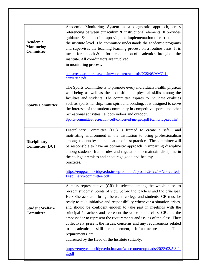| <b>Academic</b><br><b>Monitoring</b><br><b>Committee</b> | Academic Monitoring System is a diagnostic approach, cross<br>referencing between curriculum & instructional elements. It provides<br>guidance $\&$ support in improving the implementation of curriculum at<br>the institute level. The committee understands the academic programs<br>and supervises the teaching learning process on a routine basis. It is<br>meant for smooth & uniform conduction of academics throughout the<br>institute. All coordinators are involved<br>in monitoring process.<br>https://engg.cambridge.edu.in/wp-content/uploads/2022/03/AMC-1-<br>converted.pdf                                                                                                                                                                                                                                            |  |  |
|----------------------------------------------------------|------------------------------------------------------------------------------------------------------------------------------------------------------------------------------------------------------------------------------------------------------------------------------------------------------------------------------------------------------------------------------------------------------------------------------------------------------------------------------------------------------------------------------------------------------------------------------------------------------------------------------------------------------------------------------------------------------------------------------------------------------------------------------------------------------------------------------------------|--|--|
| <b>Sports Committee</b>                                  | The Sports Committee is to promote every individuals health, physical<br>well-being as well as the acquisition of physical skills among the<br>faculties and students. The committee aspires to inculcate qualities<br>such as sportsmanship, team spirit and bonding. It is designed to serve<br>the interests of the student community in competitive sports and other<br>recreational activities i.e. both indoor and outdoor.<br>Sports-committee-recreation-cell-converted-merged.pdf (cambridge.edu.in)                                                                                                                                                                                                                                                                                                                            |  |  |
| <b>Disciplinary</b><br><b>Committee (DC)</b>             | Disciplinary Committee (DC) is framed to create a safe<br>and<br>motivating environment in the Institution to bring professionalism<br>among students by the inculcation of best practices. The committee will<br>be responsible to have an optimistic approach in imparting discipline<br>among students, frame rules and regulations to maintain discipline in<br>the college premises and encourage good and healthy<br>practices.<br>https://engg.cambridge.edu.in/wp-content/uploads/2022/03/converted-<br>Displinarry-committee.pdf                                                                                                                                                                                                                                                                                                |  |  |
| <b>Student Welfare</b><br><b>Committee</b>               | A class representative (CR) is selected among the whole class to<br>present students' points of view before the teachers and the principal.<br>He / She acts as a bridge between college and students. CR must be<br>ready to take initiative and responsibility whenever a situation arises,<br>and should be confident enough to take part in meetings with the<br>principal / teachers and represent the voice of the class. CRs are the<br>ambassador to represent the requirements and issues of the class. They<br>collectively present the issues, concerns and any requirements related<br>Their<br>academics,<br>skill<br>enhancement,<br>Infrastructure<br>etc.<br>to<br>requirements are<br>addressed by the Head of the Institute suitably.<br>https://engg.cambridge.edu.in/naac/wp-content/uploads/2022/03/5.3.2-<br>2.pdf |  |  |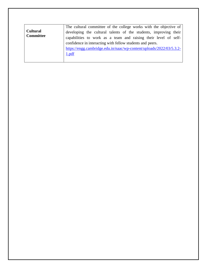|                  | The cultural committee of the college works with the objective of    |  |  |
|------------------|----------------------------------------------------------------------|--|--|
| <b>Cultural</b>  | developing the cultural talents of the students, improving their     |  |  |
| <b>Committee</b> | capabilities to work as a team and raising their level of self-      |  |  |
|                  | confidence in interacting with fellow students and peers.            |  |  |
|                  | https://engg.cambridge.edu.in/naac/wp-content/uploads/2022/03/5.3.2- |  |  |
|                  | 1.pdf                                                                |  |  |
|                  |                                                                      |  |  |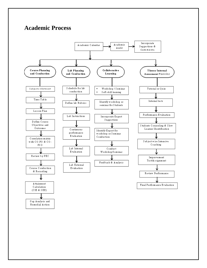# **Academic Process**



Gap Analysis and Remedial Action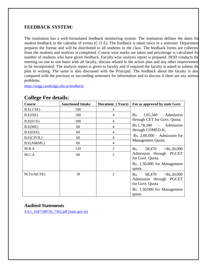#### **FEEDBACK SYSTEM:**

The institution has a well-formulated feedback monitoring system. The institution defines the dates for student feedback in the calendar of events (C O E). The feedback is taken twice in a semester. Department prepares the format and will be distributed to all students in the class. The feedback forms are collected from the students and analysis is completed .Course wise marks are taken and percentage is calculated for number of students who have given feedback. Faculty wise analysis report is prepared. HOD conducts the meeting on one to one basis with all faculty, discuss related to the action plan and any other improvement to be incorporated. The analysis report is given to faculty and if required the faculty is asked to submit the plan in writing. The same is also discussed with the Principal. The feedback about the faculty is also compared with the previous or succeeding semesters for information and to discuss if there are any serious problems.

<https://engg.cambridge.edu.in/feedback/>

| <u>- 0 - </u><br>Course | <b>Sanctioned Intake</b> | <b>Duration</b> (Years) | Fee as approved by state Govt.                                                                        |  |
|-------------------------|--------------------------|-------------------------|-------------------------------------------------------------------------------------------------------|--|
| B.E(CSE)                | 180                      | 4                       |                                                                                                       |  |
| B.E(ISE)                | 180                      | $\overline{4}$          | Rs. $1,05,340$ -Admission                                                                             |  |
| B.E(ECE)                | 180                      | $\overline{4}$          | through CET for Govt. Quota.                                                                          |  |
| B.E(ME)                 | 60                       | 4                       | $Rs.1,78,340 - Admission$                                                                             |  |
| B.E(EEE)                | 60                       | 4                       | through COMED-K.                                                                                      |  |
| <b>B.E(CIVIL)</b>       | 60                       | 4                       | Rs. $2,00,000 -$ Admission for                                                                        |  |
| B.E(AI&ML)              | 60                       | 4                       | Management Quota.                                                                                     |  |
| M.B.A                   | 120                      | $\overline{2}$          | Rs. $58,470 + Rs.20,000$                                                                              |  |
| M.C.A                   | 60                       | $\overline{2}$          | Admission through PGCET<br>for Govt. Quota.                                                           |  |
|                         |                          |                         | Rs. 1,50,000 for Management<br>quota.                                                                 |  |
| M.Tech(CSE)             | 18                       | $\overline{2}$          | Rs. $68,470 + Rs.20,000$<br>Admission through PGCET<br>for Govt. Quota<br>Rs. 1,50,000 for Management |  |
|                         |                          |                         | quota                                                                                                 |  |

## **College Fee details:**

#### **Audited Statements**

[4.4.1\\_1647148726\\_7362.pdf \(naac.gov.in\)](https://assessmentonline.naac.gov.in/storage/app/hei/SSR/110128/4.4.1_1647148726_7362.pdf)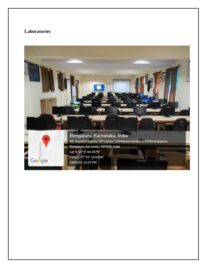## **Laboratories**

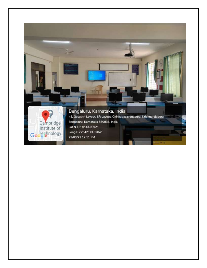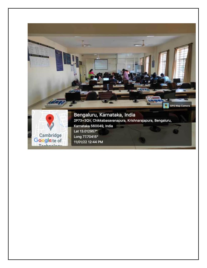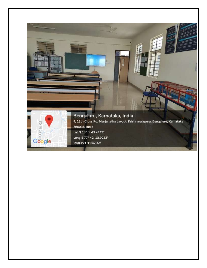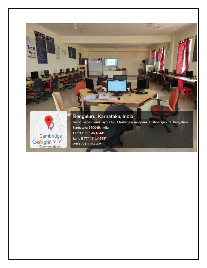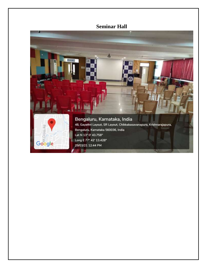# **Seminar Hall**

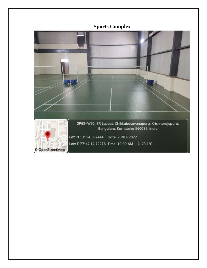# **Sports Complex**